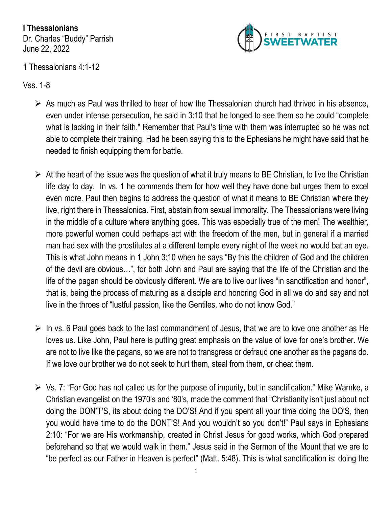**I Thessalonians** Dr. Charles "Buddy" Parrish June 22, 2022



## 1 Thessalonians 4:1-12

Vss. 1-8

- $\triangleright$  As much as Paul was thrilled to hear of how the Thessalonian church had thrived in his absence, even under intense persecution, he said in 3:10 that he longed to see them so he could "complete what is lacking in their faith." Remember that Paul's time with them was interrupted so he was not able to complete their training. Had he been saying this to the Ephesians he might have said that he needed to finish equipping them for battle.
- $\triangleright$  At the heart of the issue was the question of what it truly means to BE Christian, to live the Christian life day to day. In vs. 1 he commends them for how well they have done but urges them to excel even more. Paul then begins to address the question of what it means to BE Christian where they live, right there in Thessalonica. First, abstain from sexual immorality. The Thessalonians were living in the middle of a culture where anything goes. This was especially true of the men! The wealthier, more powerful women could perhaps act with the freedom of the men, but in general if a married man had sex with the prostitutes at a different temple every night of the week no would bat an eye. This is what John means in 1 John 3:10 when he says "By this the children of God and the children of the devil are obvious…", for both John and Paul are saying that the life of the Christian and the life of the pagan should be obviously different. We are to live our lives "in sanctification and honor", that is, being the process of maturing as a disciple and honoring God in all we do and say and not live in the throes of "lustful passion, like the Gentiles, who do not know God."
- $\triangleright$  In vs. 6 Paul goes back to the last commandment of Jesus, that we are to love one another as He loves us. Like John, Paul here is putting great emphasis on the value of love for one's brother. We are not to live like the pagans, so we are not to transgress or defraud one another as the pagans do. If we love our brother we do not seek to hurt them, steal from them, or cheat them.
- ➢ Vs. 7: "For God has not called us for the purpose of impurity, but in sanctification." Mike Warnke, a Christian evangelist on the 1970's and '80's, made the comment that "Christianity isn't just about not doing the DON'T'S, its about doing the DO'S! And if you spent all your time doing the DO'S, then you would have time to do the DONT'S! And you wouldn't so you don't!" Paul says in Ephesians 2:10: "For we are His workmanship, created in Christ Jesus for good works, which God prepared beforehand so that we would walk in them." Jesus said in the Sermon of the Mount that we are to "be perfect as our Father in Heaven is perfect" (Matt. 5:48). This is what sanctification is: doing the